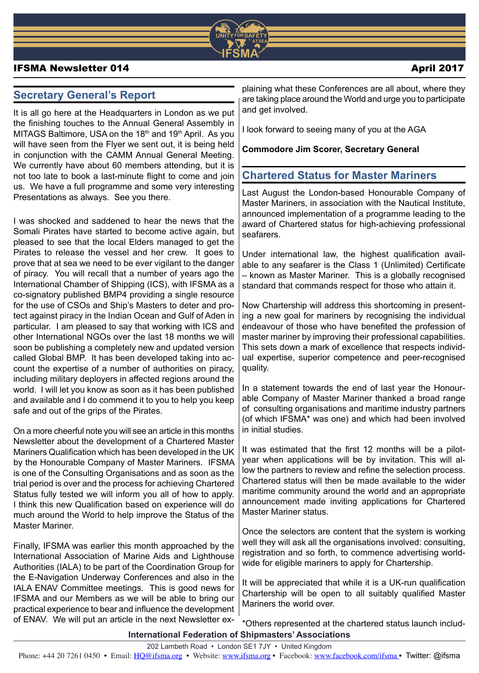

### IFSMA Newsletter 014 April 2017

# **Secretary General's Report**

It is all go here at the Headquarters in London as we put the finishing touches to the Annual General Assembly in MITAGS Baltimore, USA on the 18<sup>th</sup> and 19<sup>th</sup> April. As you will have seen from the Flyer we sent out, it is being held in conjunction with the CAMM Annual General Meeting. We currently have about 60 members attending, but it is not too late to book a last-minute flight to come and join us. We have a full programme and some very interesting Presentations as always. See you there.

I was shocked and saddened to hear the news that the Somali Pirates have started to become active again, but pleased to see that the local Elders managed to get the Pirates to release the vessel and her crew. It goes to prove that at sea we need to be ever vigilant to the danger of piracy. You will recall that a number of years ago the International Chamber of Shipping (ICS), with IFSMA as a co-signatory published BMP4 providing a single resource for the use of CSOs and Ship's Masters to deter and protect against piracy in the Indian Ocean and Gulf of Aden in particular. I am pleased to say that working with ICS and other International NGOs over the last 18 months we will soon be publishing a completely new and updated version called Global BMP. It has been developed taking into account the expertise of a number of authorities on piracy, including military deployers in affected regions around the world. I will let you know as soon as it has been published and available and I do commend it to you to help you keep safe and out of the grips of the Pirates.

On a more cheerful note you will see an article in this months Newsletter about the development of a Chartered Master Mariners Qualification which has been developed in the UK by the Honourable Company of Master Mariners. IFSMA is one of the Consulting Organisations and as soon as the trial period is over and the process for achieving Chartered Status fully tested we will inform you all of how to apply. I think this new Qualification based on experience will do much around the World to help improve the Status of the Master Mariner.

Finally, IFSMA was earlier this month approached by the International Association of Marine Aids and Lighthouse Authorities (IALA) to be part of the Coordination Group for the E-Navigation Underway Conferences and also in the IALA ENAV Committee meetings. This is good news for IFSMA and our Members as we will be able to bring our practical experience to bear and influence the development of ENAV. We will put an article in the next Newsletter ex-

plaining what these Conferences are all about, where they are taking place around the World and urge you to participate and get involved.

I look forward to seeing many of you at the AGA

### **Commodore Jim Scorer, Secretary General**

## **Chartered Status for Master Mariners**

Last August the London-based Honourable Company of Master Mariners, in association with the Nautical Institute, announced implementation of a programme leading to the award of Chartered status for high-achieving professional seafarers.

Under international law, the highest qualification available to any seafarer is the Class 1 (Unlimited) Certificate – known as Master Mariner. This is a globally recognised standard that commands respect for those who attain it.

Now Chartership will address this shortcoming in presenting a new goal for mariners by recognising the individual endeavour of those who have benefited the profession of master mariner by improving their professional capabilities. This sets down a mark of excellence that respects individual expertise, superior competence and peer-recognised quality.

In a statement towards the end of last year the Honourable Company of Master Mariner thanked a broad range of consulting organisations and maritime industry partners (of which IFSMA\* was one) and which had been involved in initial studies.

It was estimated that the first 12 months will be a pilotyear when applications will be by invitation. This will allow the partners to review and refine the selection process. Chartered status will then be made available to the wider maritime community around the world and an appropriate announcement made inviting applications for Chartered Master Mariner status.

Once the selectors are content that the system is working well they will ask all the organisations involved: consulting, registration and so forth, to commence advertising worldwide for eligible mariners to apply for Chartership.

It will be appreciated that while it is a UK-run qualification Chartership will be open to all suitably qualified Master Mariners the world over.

**International Federation of Shipmasters' Associations** \*Others represented at the chartered status launch includ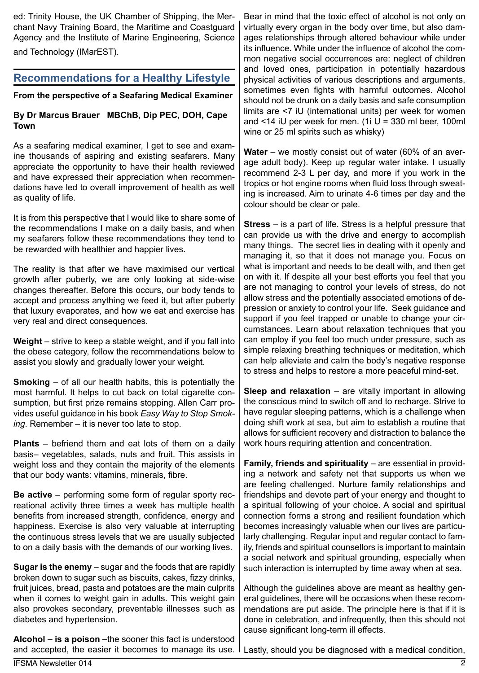ed: Trinity House, the UK Chamber of Shipping, the Merchant Navy Training Board, the Maritime and Coastguard Agency and the Institute of Marine Engineering, Science and Technology (IMarEST).

# **Recommendations for a Healthy Lifestyle**

**From the perspective of a Seafaring Medical Examiner**

## **By Dr Marcus Brauer MBChB, Dip PEC, DOH, Cape Town**

As a seafaring medical examiner, I get to see and examine thousands of aspiring and existing seafarers. Many appreciate the opportunity to have their health reviewed and have expressed their appreciation when recommendations have led to overall improvement of health as well as quality of life.

It is from this perspective that I would like to share some of the recommendations I make on a daily basis, and when my seafarers follow these recommendations they tend to be rewarded with healthier and happier lives.

The reality is that after we have maximised our vertical growth after puberty, we are only looking at side-wise changes thereafter. Before this occurs, our body tends to accept and process anything we feed it, but after puberty that luxury evaporates, and how we eat and exercise has very real and direct consequences.

**Weight** – strive to keep a stable weight, and if you fall into the obese category, follow the recommendations below to assist you slowly and gradually lower your weight.

**Smoking** – of all our health habits, this is potentially the most harmful. It helps to cut back on total cigarette consumption, but first prize remains stopping. Allen Carr provides useful guidance in his book *Easy Way to Stop Smoking*. Remember – it is never too late to stop.

**Plants** – befriend them and eat lots of them on a daily basis– vegetables, salads, nuts and fruit. This assists in weight loss and they contain the majority of the elements that our body wants: vitamins, minerals, fibre.

**Be active** – performing some form of regular sporty recreational activity three times a week has multiple health benefits from increased strength, confidence, energy and happiness. Exercise is also very valuable at interrupting the continuous stress levels that we are usually subjected to on a daily basis with the demands of our working lives.

**Sugar is the enemy** – sugar and the foods that are rapidly broken down to sugar such as biscuits, cakes, fizzy drinks, fruit juices, bread, pasta and potatoes are the main culprits when it comes to weight gain in adults. This weight gain also provokes secondary, preventable illnesses such as diabetes and hypertension.

**Alcohol – is a poison –**the sooner this fact is understood and accepted, the easier it becomes to manage its use. Bear in mind that the toxic effect of alcohol is not only on virtually every organ in the body over time, but also damages relationships through altered behaviour while under its influence. While under the influence of alcohol the common negative social occurrences are: neglect of children and loved ones, participation in potentially hazardous physical activities of various descriptions and arguments, sometimes even fights with harmful outcomes. Alcohol should not be drunk on a daily basis and safe consumption limits are <7 iU (international units) per week for women and  $\le$ 14 iU per week for men. (1i U = 330 ml beer, 100ml wine or 25 ml spirits such as whisky)

**Water** – we mostly consist out of water (60% of an average adult body). Keep up regular water intake. I usually recommend 2-3 L per day, and more if you work in the tropics or hot engine rooms when fluid loss through sweating is increased. Aim to urinate 4-6 times per day and the colour should be clear or pale.

**Stress** – is a part of life. Stress is a helpful pressure that can provide us with the drive and energy to accomplish many things. The secret lies in dealing with it openly and managing it, so that it does not manage you. Focus on what is important and needs to be dealt with, and then get on with it. If despite all your best efforts you feel that you are not managing to control your levels of stress, do not allow stress and the potentially associated emotions of depression or anxiety to control your life. Seek guidance and support if you feel trapped or unable to change your circumstances. Learn about relaxation techniques that you can employ if you feel too much under pressure, such as simple relaxing breathing techniques or meditation, which can help alleviate and calm the body's negative response to stress and helps to restore a more peaceful mind-set.

**Sleep and relaxation** – are vitally important in allowing the conscious mind to switch off and to recharge. Strive to have regular sleeping patterns, which is a challenge when doing shift work at sea, but aim to establish a routine that allows for sufficient recovery and distraction to balance the work hours requiring attention and concentration.

**Family, friends and spirituality** – are essential in providing a network and safety net that supports us when we are feeling challenged. Nurture family relationships and friendships and devote part of your energy and thought to a spiritual following of your choice. A social and spiritual connection forms a strong and resilient foundation which becomes increasingly valuable when our lives are particularly challenging. Regular input and regular contact to family, friends and spiritual counsellors is important to maintain a social network and spiritual grounding, especially when such interaction is interrupted by time away when at sea.

Although the guidelines above are meant as healthy general guidelines, there will be occasions when these recommendations are put aside. The principle here is that if it is done in celebration, and infrequently, then this should not cause significant long-term ill effects.

Lastly, should you be diagnosed with a medical condition,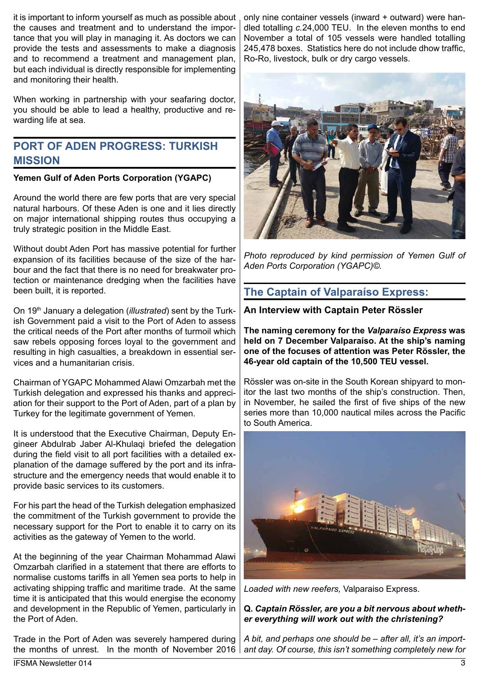it is important to inform yourself as much as possible about the causes and treatment and to understand the importance that you will play in managing it. As doctors we can provide the tests and assessments to make a diagnosis and to recommend a treatment and management plan, but each individual is directly responsible for implementing and monitoring their health.

When working in partnership with your seafaring doctor, you should be able to lead a healthy, productive and rewarding life at sea.

# **PORT OF ADEN PROGRESS: TURKISH MISSION**

### **Yemen Gulf of Aden Ports Corporation (YGAPC)**

Around the world there are few ports that are very special natural harbours. Of these Aden is one and it lies directly on major international shipping routes thus occupying a truly strategic position in the Middle East.

Without doubt Aden Port has massive potential for further expansion of its facilities because of the size of the harbour and the fact that there is no need for breakwater protection or maintenance dredging when the facilities have been built, it is reported.

On 19th January a delegation (*illustrated*) sent by the Turkish Government paid a visit to the Port of Aden to assess the critical needs of the Port after months of turmoil which saw rebels opposing forces loyal to the government and resulting in high casualties, a breakdown in essential services and a humanitarian crisis.

Chairman of YGAPC Mohammed Alawi Omzarbah met the Turkish delegation and expressed his thanks and appreciation for their support to the Port of Aden, part of a plan by Turkey for the legitimate government of Yemen.

It is understood that the Executive Chairman, Deputy Engineer Abdulrab Jaber Al-Khulaqi briefed the delegation during the field visit to all port facilities with a detailed explanation of the damage suffered by the port and its infrastructure and the emergency needs that would enable it to provide basic services to its customers.

For his part the head of the Turkish delegation emphasized the commitment of the Turkish government to provide the necessary support for the Port to enable it to carry on its activities as the gateway of Yemen to the world.

At the beginning of the year Chairman Mohammad Alawi Omzarbah clarified in a statement that there are efforts to normalise customs tariffs in all Yemen sea ports to help in activating shipping traffic and maritime trade. At the same time it is anticipated that this would energise the economy and development in the Republic of Yemen, particularly in the Port of Aden.

Trade in the Port of Aden was severely hampered during the months of unrest. In the month of November 2016 | ant day. Of course, this isn't something completely new for

only nine container vessels (inward + outward) were handled totalling *c.*24,000 TEU. In the eleven months to end November a total of 105 vessels were handled totalling 245,478 boxes. Statistics here do not include dhow traffic, Ro-Ro, livestock, bulk or dry cargo vessels.



*Photo reproduced by kind permission of Yemen Gulf of Aden Ports Corporation (YGAPC)©.*

# **The Captain of Valparaíso Express:**

**An Interview with Captain Peter Rössler**

**The naming ceremony for the** *Valparaíso Express* **was held on 7 December Valparaíso. At the ship's naming one of the focuses of attention was Peter Rössler, the 46-year old captain of the 10,500 TEU vessel.**

Rössler was on-site in the South Korean shipyard to monitor the last two months of the ship's construction. Then, in November, he sailed the first of five ships of the new series more than 10,000 nautical miles across the Pacific to South America.



*Loaded with new reefers,* Valparaiso Express.

### **Q.** *Captain Rössler, are you a bit nervous about whether everything will work out with the christening?*

*A bit, and perhaps one should be – after all, it's an import-*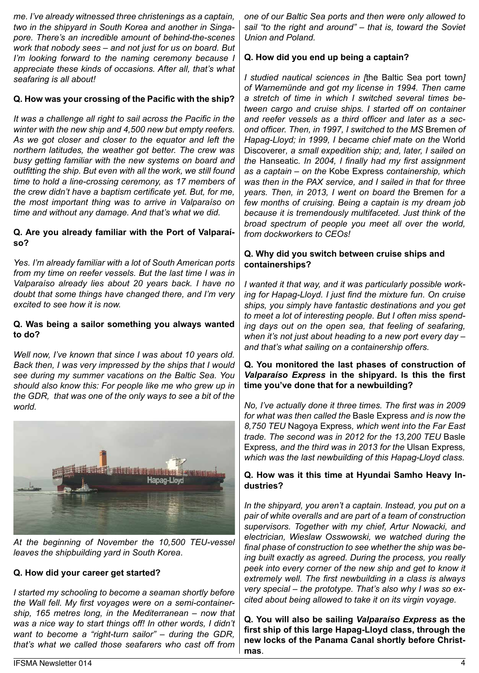*me. I've already witnessed three christenings as a captain, two in the shipyard in South Korea and another in Singapore. There's an incredible amount of behind-the-scenes work that nobody sees – and not just for us on board. But I'm looking forward to the naming ceremony because I appreciate these kinds of occasions. After all, that's what seafaring is all about!*

### **Q. How was your crossing of the Pacific with the ship?**

*It was a challenge all right to sail across the Pacific in the winter with the new ship and 4,500 new but empty reefers. As we got closer and closer to the equator and left the northern latitudes, the weather got better. The crew was busy getting familiar with the new systems on board and outfitting the ship. But even with all the work, we still found time to hold a line-crossing ceremony, as 17 members of the crew didn't have a baptism certificate yet. But, for me, the most important thing was to arrive in Valparaíso on time and without any damage. And that's what we did.*

### **Q. Are you already familiar with the Port of Valparaíso?**

*Yes. I'm already familiar with a lot of South American ports from my time on reefer vessels. But the last time I was in Valparaíso already lies about 20 years back. I have no doubt that some things have changed there, and I'm very excited to see how it is now.*

### **Q. Was being a sailor something you always wanted to do?**

*Well now, I've known that since I was about 10 years old. Back then, I was very impressed by the ships that I would see during my summer vacations on the Baltic Sea. You should also know this: For people like me who grew up in the GDR, that was one of the only ways to see a bit of the world.* 



*At the beginning of November the 10,500 TEU-vessel leaves the shipbuilding yard in South Korea*.

### **Q. How did your career get started?**

*I started my schooling to become a seaman shortly before the Wall fell. My first voyages were on a semi-containership, 165 metres long, in the Mediterranean – now that*  was a nice way to start things off! In other words, I didn't *want to become a "right-turn sailor" – during the GDR, that's what we called those seafarers who cast off from*  *one of our Baltic Sea ports and then were only allowed to sail "to the right and around" – that is, toward the Soviet Union and Poland.*

### **Q. How did you end up being a captain?**

*I studied nautical sciences in [*the Baltic Sea port town*] of Warnemünde and got my license in 1994. Then came a stretch of time in which I switched several times between cargo and cruise ships. I started off on container and reefer vessels as a third officer and later as a second officer. Then, in 1997, I switched to the MS* Bremen *of Hapag-Lloyd; in 1999, I became chief mate on the* World Discoverer*, a small expedition ship; and, later, I sailed on the* Hanseatic*. In 2004, I finally had my first assignment as a captain – on the* Kobe Express *containership, which was then in the PAX service, and I sailed in that for three years. Then, in 2013, I went on board the* Bremen *for a few months of cruising. Being a captain is my dream job because it is tremendously multifaceted. Just think of the broad spectrum of people you meet all over the world, from dockworkers to CEOs!*

### **Q. Why did you switch between cruise ships and containerships?**

*I wanted it that way, and it was particularly possible working for Hapag-Lloyd. I just find the mixture fun. On cruise ships, you simply have fantastic destinations and you get to meet a lot of interesting people. But I often miss spending days out on the open sea, that feeling of seafaring, when it's not just about heading to a new port every day – and that's what sailing on a containership offers.*

### **Q. You monitored the last phases of construction of**  *Valparaíso Express* **in the shipyard. Is this the first time you've done that for a newbuilding?**

*No, I've actually done it three times. The first was in 2009 for what was then called the* Basle Express *and is now the 8,750 TEU* Nagoya Express*, which went into the Far East trade. The second was in 2012 for the 13,200 TEU* Basle Express*, and the third was in 2013 for the* Ulsan Express*, which was the last newbuilding of this Hapag-Lloyd class.*

### **Q. How was it this time at Hyundai Samho Heavy Industries?**

*In the shipyard, you aren't a captain. Instead, you put on a pair of white overalls and are part of a team of construction supervisors. Together with my chief, Artur Nowacki, and electrician, Wieslaw Osswowski, we watched during the final phase of construction to see whether the ship was being built exactly as agreed. During the process, you really peek into every corner of the new ship and get to know it extremely well. The first newbuilding in a class is always very special – the prototype. That's also why I was so excited about being allowed to take it on its virgin voyage.*

**Q. You will also be sailing** *Valparaíso Express* **as the first ship of this large Hapag-Lloyd class, through the new locks of the Panama Canal shortly before Christmas**.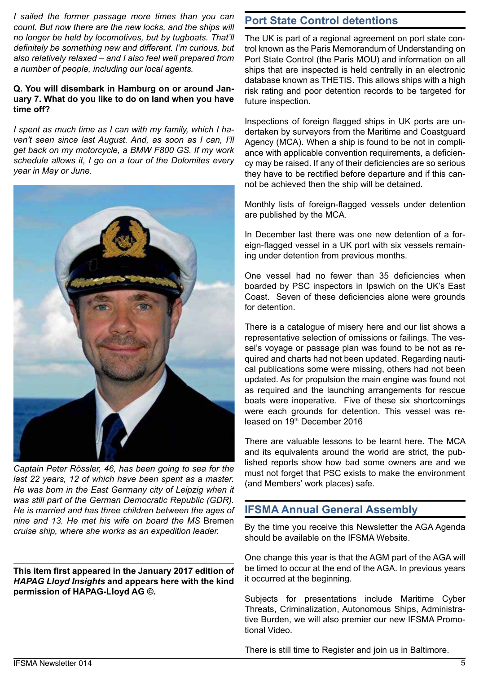*I sailed the former passage more times than you can count. But now there are the new locks, and the ships will no longer be held by locomotives, but by tugboats. That'll definitely be something new and different. I'm curious, but also relatively relaxed – and I also feel well prepared from a number of people, including our local agents.*

#### **Q. You will disembark in Hamburg on or around January 7. What do you like to do on land when you have time off?**

*I spent as much time as I can with my family, which I haven't seen since last August. And, as soon as I can, I'll get back on my motorcycle, a BMW F800 GS. If my work schedule allows it, I go on a tour of the Dolomites every year in May or June.*



*Captain Peter Rössler, 46, has been going to sea for the last 22 years, 12 of which have been spent as a master. He was born in the East Germany city of Leipzig when it was still part of the German Democratic Republic (GDR). He is married and has three children between the ages of nine and 13. He met his wife on board the MS* Bremen *cruise ship, where she works as an expedition leader.*

**This item first appeared in the January 2017 edition of**  *HAPAG Lloyd Insights* **and appears here with the kind permission of HAPAG-Lloyd AG ©.**

# **Port State Control detentions**

The UK is part of a regional agreement on port state control known as the Paris Memorandum of Understanding on Port State Control (the Paris MOU) and information on all ships that are inspected is held centrally in an electronic database known as THETIS. This allows ships with a high risk rating and poor detention records to be targeted for future inspection.

Inspections of foreign flagged ships in UK ports are undertaken by surveyors from the Maritime and Coastguard Agency (MCA). When a ship is found to be not in compliance with applicable convention requirements, a deficiency may be raised. If any of their deficiencies are so serious they have to be rectified before departure and if this cannot be achieved then the ship will be detained.

Monthly lists of foreign-flagged vessels under detention are published by the MCA.

In December last there was one new detention of a foreign-flagged vessel in a UK port with six vessels remaining under detention from previous months.

One vessel had no fewer than 35 deficiencies when boarded by PSC inspectors in Ipswich on the UK's East Coast. Seven of these deficiencies alone were grounds for detention.

There is a catalogue of misery here and our list shows a representative selection of omissions or failings. The vessel's voyage or passage plan was found to be not as required and charts had not been updated. Regarding nautical publications some were missing, others had not been updated. As for propulsion the main engine was found not as required and the launching arrangements for rescue boats were inoperative. Five of these six shortcomings were each grounds for detention. This vessel was released on 19th December 2016

There are valuable lessons to be learnt here. The MCA and its equivalents around the world are strict, the published reports show how bad some owners are and we must not forget that PSC exists to make the environment (and Members' work places) safe.

## **IFSMA Annual General Assembly**

By the time you receive this Newsletter the AGA Agenda should be available on the IFSMA Website.

One change this year is that the AGM part of the AGA will be timed to occur at the end of the AGA. In previous years it occurred at the beginning.

Subjects for presentations include Maritime Cyber Threats, Criminalization, Autonomous Ships, Administrative Burden, we will also premier our new IFSMA Promotional Video.

There is still time to Register and join us in Baltimore.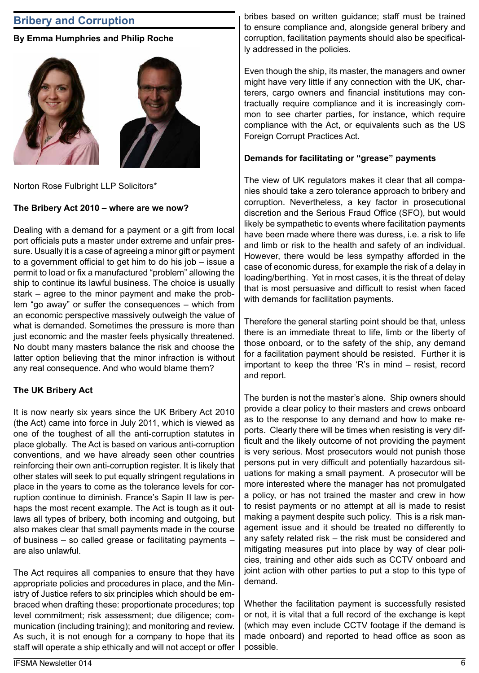## **Bribery and Corruption**

### **By Emma Humphries and Philip Roche**



Norton Rose Fulbright LLP Solicitors\*

### **The Bribery Act 2010 – where are we now?**

Dealing with a demand for a payment or a gift from local port officials puts a master under extreme and unfair pressure. Usually it is a case of agreeing a minor gift or payment to a government official to get him to do his job – issue a permit to load or fix a manufactured "problem" allowing the ship to continue its lawful business. The choice is usually stark – agree to the minor payment and make the problem "go away" or suffer the consequences – which from an economic perspective massively outweigh the value of what is demanded. Sometimes the pressure is more than just economic and the master feels physically threatened. No doubt many masters balance the risk and choose the latter option believing that the minor infraction is without any real consequence. And who would blame them?

### **The UK Bribery Act**

It is now nearly six years since the UK Bribery Act 2010 (the Act) came into force in July 2011, which is viewed as one of the toughest of all the anti-corruption statutes in place globally. The Act is based on various anti-corruption conventions, and we have already seen other countries reinforcing their own anti-corruption register. It is likely that other states will seek to put equally stringent regulations in place in the years to come as the tolerance levels for corruption continue to diminish. France's Sapin II law is perhaps the most recent example. The Act is tough as it outlaws all types of bribery, both incoming and outgoing, but also makes clear that small payments made in the course of business – so called grease or facilitating payments – are also unlawful.

The Act requires all companies to ensure that they have appropriate policies and procedures in place, and the Ministry of Justice refers to six principles which should be embraced when drafting these: proportionate procedures; top level commitment; risk assessment; due diligence; communication (including training); and monitoring and review. As such, it is not enough for a company to hope that its staff will operate a ship ethically and will not accept or offer bribes based on written guidance; staff must be trained to ensure compliance and, alongside general bribery and corruption, facilitation payments should also be specifically addressed in the policies.

Even though the ship, its master, the managers and owner might have very little if any connection with the UK, charterers, cargo owners and financial institutions may contractually require compliance and it is increasingly common to see charter parties, for instance, which require compliance with the Act, or equivalents such as the US Foreign Corrupt Practices Act.

#### **Demands for facilitating or "grease" payments**

The view of UK regulators makes it clear that all companies should take a zero tolerance approach to bribery and corruption. Nevertheless, a key factor in prosecutional discretion and the Serious Fraud Office (SFO), but would likely be sympathetic to events where facilitation payments have been made where there was duress, i.e. a risk to life and limb or risk to the health and safety of an individual. However, there would be less sympathy afforded in the case of economic duress, for example the risk of a delay in loading/berthing. Yet in most cases, it is the threat of delay that is most persuasive and difficult to resist when faced with demands for facilitation payments.

Therefore the general starting point should be that, unless there is an immediate threat to life, limb or the liberty of those onboard, or to the safety of the ship, any demand for a facilitation payment should be resisted. Further it is important to keep the three 'R's in mind – resist, record and report.

The burden is not the master's alone. Ship owners should provide a clear policy to their masters and crews onboard as to the response to any demand and how to make reports. Clearly there will be times when resisting is very difficult and the likely outcome of not providing the payment is very serious. Most prosecutors would not punish those persons put in very difficult and potentially hazardous situations for making a small payment. A prosecutor will be more interested where the manager has not promulgated a policy, or has not trained the master and crew in how to resist payments or no attempt at all is made to resist making a payment despite such policy. This is a risk management issue and it should be treated no differently to any safety related risk – the risk must be considered and mitigating measures put into place by way of clear policies, training and other aids such as CCTV onboard and joint action with other parties to put a stop to this type of demand.

Whether the facilitation payment is successfully resisted or not, it is vital that a full record of the exchange is kept (which may even include CCTV footage if the demand is made onboard) and reported to head office as soon as possible.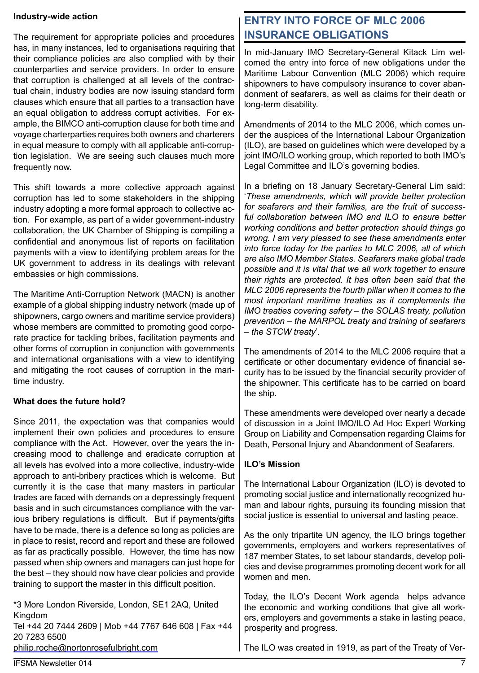#### **Industry-wide action**

The requirement for appropriate policies and procedures has, in many instances, led to organisations requiring that their compliance policies are also complied with by their counterparties and service providers. In order to ensure that corruption is challenged at all levels of the contractual chain, industry bodies are now issuing standard form clauses which ensure that all parties to a transaction have an equal obligation to address corrupt activities. For example, the BIMCO anti-corruption clause for both time and voyage charterparties requires both owners and charterers in equal measure to comply with all applicable anti-corruption legislation. We are seeing such clauses much more frequently now.

This shift towards a more collective approach against corruption has led to some stakeholders in the shipping industry adopting a more formal approach to collective action. For example, as part of a wider government-industry collaboration, the UK Chamber of Shipping is compiling a confidential and anonymous list of reports on facilitation payments with a view to identifying problem areas for the UK government to address in its dealings with relevant embassies or high commissions.

The Maritime Anti-Corruption Network (MACN) is another example of a global shipping industry network (made up of shipowners, cargo owners and maritime service providers) whose members are committed to promoting good corporate practice for tackling bribes, facilitation payments and other forms of corruption in conjunction with governments and international organisations with a view to identifying and mitigating the root causes of corruption in the maritime industry.

### **What does the future hold?**

Since 2011, the expectation was that companies would implement their own policies and procedures to ensure compliance with the Act. However, over the years the increasing mood to challenge and eradicate corruption at all levels has evolved into a more collective, industry-wide approach to anti-bribery practices which is welcome. But currently it is the case that many masters in particular trades are faced with demands on a depressingly frequent basis and in such circumstances compliance with the various bribery regulations is difficult. But if payments/gifts have to be made, there is a defence so long as policies are in place to resist, record and report and these are followed as far as practically possible. However, the time has now passed when ship owners and managers can just hope for the best – they should now have clear policies and provide training to support the master in this difficult position.

\*3 More London Riverside, London, SE1 2AQ, United Kingdom Tel +44 20 7444 2609 | Mob +44 7767 646 608 | Fax +44 20 7283 6500

philip.roche@nortonrosefulbright.com

# **ENTRY INTO FORCE OF MLC 2006 INSURANCE OBLIGATIONS**

In mid-January IMO Secretary-General Kitack Lim welcomed the entry into force of new obligations under the Maritime Labour Convention (MLC 2006) which require shipowners to have compulsory insurance to cover abandonment of seafarers, as well as claims for their death or long-term disability.

Amendments of 2014 to the MLC 2006, which comes under the auspices of the International Labour Organization (ILO), are based on guidelines which were developed by a joint IMO/ILO working group, which reported to both IMO's Legal Committee and ILO's governing bodies.

In a briefing on 18 January Secretary-General Lim said: '*These amendments, which will provide better protection for seafarers and their families, are the fruit of successful collaboration between IMO and ILO to ensure better working conditions and better protection should things go wrong. I am very pleased to see these amendments enter into force today for the parties to MLC 2006, all of which are also IMO Member States. Seafarers make global trade possible and it is vital that we all work together to ensure their rights are protected. It has often been said that the MLC 2006 represents the fourth pillar when it comes to the most important maritime treaties as it complements the IMO treaties covering safety – the SOLAS treaty, pollution prevention – the MARPOL treaty and training of seafarers – the STCW treaty*'.

The amendments of 2014 to the MLC 2006 require that a certificate or other documentary evidence of financial security has to be issued by the financial security provider of the shipowner. This certificate has to be carried on board the ship.

These amendments were developed over nearly a decade of discussion in a Joint IMO/ILO Ad Hoc Expert Working Group on Liability and Compensation regarding Claims for Death, Personal Injury and Abandonment of Seafarers.

### **ILO's Mission**

The International Labour Organization (ILO) is devoted to promoting social justice and internationally recognized human and labour rights, pursuing its founding mission that social justice is essential to universal and lasting peace.

As the only tripartite UN agency, the ILO brings together governments, employers and workers representatives of 187 member States, to set labour standards, develop policies and devise programmes promoting decent work for all women and men.

Today, the ILO's Decent Work agenda helps advance the economic and working conditions that give all workers, employers and governments a stake in lasting peace, prosperity and progress.

The ILO was created in 1919, as part of the Treaty of Ver-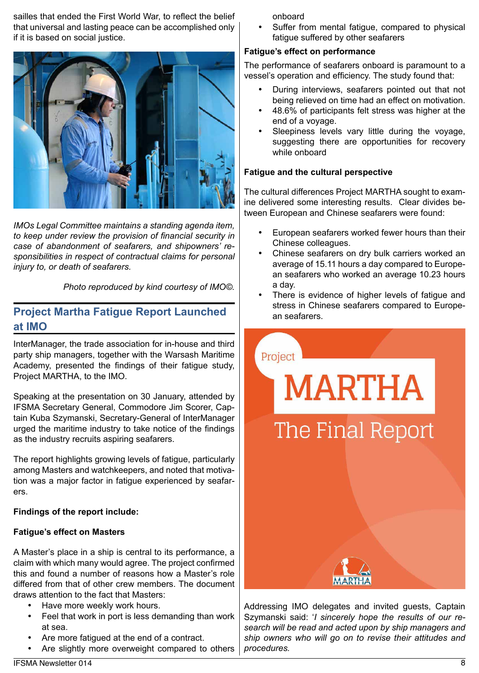sailles that ended the First World War, to reflect the belief that universal and lasting peace can be accomplished only if it is based on social justice.



*IMOs Legal Committee maintains a standing agenda item, to keep under review the provision of financial security in case of abandonment of seafarers, and shipowners' responsibilities in respect of contractual claims for personal injury to, or death of seafarers.*

*Photo reproduced by kind courtesy of IMO©.*

## **Project Martha Fatigue Report Launched at IMO**

InterManager, the trade association for in-house and third party ship managers, together with the Warsash Maritime Academy, presented the findings of their fatigue study, Project MARTHA, to the IMO.

Speaking at the presentation on 30 January, attended by IFSMA Secretary General, Commodore Jim Scorer, Captain Kuba Szymanski, Secretary-General of InterManager urged the maritime industry to take notice of the findings as the industry recruits aspiring seafarers.

The report highlights growing levels of fatigue, particularly among Masters and watchkeepers, and noted that motivation was a major factor in fatigue experienced by seafarers.

### **Findings of the report include:**

### **Fatigue's effect on Masters**

A Master's place in a ship is central to its performance, a claim with which many would agree. The project confirmed this and found a number of reasons how a Master's role differed from that of other crew members. The document draws attention to the fact that Masters:

- Have more weekly work hours.
- Feel that work in port is less demanding than work at sea.
- Are more fatigued at the end of a contract.
- Are slightly more overweight compared to others

onboard

Suffer from mental fatigue, compared to physical fatigue suffered by other seafarers

### **Fatigue's effect on performance**

The performance of seafarers onboard is paramount to a vessel's operation and efficiency. The study found that:

- During interviews, seafarers pointed out that not being relieved on time had an effect on motivation.
- 48.6% of participants felt stress was higher at the end of a voyage.
- Sleepiness levels vary little during the voyage, suggesting there are opportunities for recovery while onboard

### **Fatigue and the cultural perspective**

The cultural differences Project MARTHA sought to examine delivered some interesting results. Clear divides between European and Chinese seafarers were found:

- European seafarers worked fewer hours than their Chinese colleagues.
- Chinese seafarers on dry bulk carriers worked an average of 15.11 hours a day compared to European seafarers who worked an average 10.23 hours a day.
- There is evidence of higher levels of fatigue and stress in Chinese seafarers compared to European seafarers.



Addressing IMO delegates and invited guests, Captain Szymanski said: '*I sincerely hope the results of our research will be read and acted upon by ship managers and ship owners who will go on to revise their attitudes and procedures.*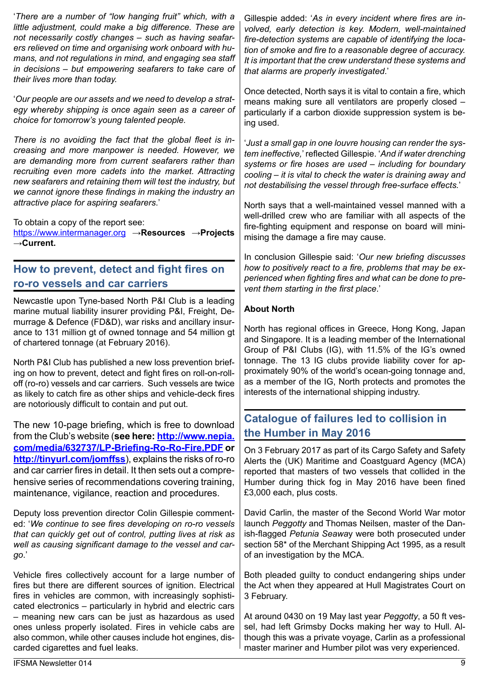'*There are a number of "low hanging fruit" which, with a little adjustment, could make a big difference. These are not necessarily costly changes – such as having seafarers relieved on time and organising work onboard with humans, and not regulations in mind, and engaging sea staff in decisions – but empowering seafarers to take care of their lives more than today.*

'*Our people are our assets and we need to develop a strategy whereby shipping is once again seen as a career of choice for tomorrow's young talented people.*

*There is no avoiding the fact that the global fleet is increasing and more manpower is needed. However, we are demanding more from current seafarers rather than recruiting even more cadets into the market. Attracting new seafarers and retaining them will test the industry, but we cannot ignore these findings in making the industry an attractive place for aspiring seafarers*.'

To obtain a copy of the report see:

https://www.intermanager.org **→Resources →Projects →Current.**

# **How to prevent, detect and fight fires on ro-ro vessels and car carriers**

Newcastle upon Tyne-based North P&I Club is a leading marine mutual liability insurer providing P&I, Freight, Demurrage & Defence (FD&D), war risks and ancillary insurance to 131 million gt of owned tonnage and 54 million gt of chartered tonnage (at February 2016).

North P&I Club has published a new loss prevention briefing on how to prevent, detect and fight fires on roll-on-rolloff (ro-ro) vessels and car carriers. Such vessels are twice as likely to catch fire as other ships and vehicle-deck fires are notoriously difficult to contain and put out.

The new 10-page briefing, which is free to download from the Club's website (**see here: http://www.nepia. com/media/632737/LP-Briefing-Ro-Ro-Fire.PDF or http://tinyurl.com/jomffss**), explains the risks of ro-ro and car carrier fires in detail. It then sets out a comprehensive series of recommendations covering training, maintenance, vigilance, reaction and procedures.

Deputy loss prevention director Colin Gillespie commented: '*We continue to see fires developing on ro-ro vessels that can quickly get out of control, putting lives at risk as well as causing significant damage to the vessel and cargo*.'

Vehicle fires collectively account for a large number of fires but there are different sources of ignition. Electrical fires in vehicles are common, with increasingly sophisticated electronics – particularly in hybrid and electric cars – meaning new cars can be just as hazardous as used ones unless properly isolated. Fires in vehicle cabs are also common, while other causes include hot engines, discarded cigarettes and fuel leaks.

Gillespie added: '*As in every incident where fires are involved, early detection is key. Modern, well-maintained fire-detection systems are capable of identifying the location of smoke and fire to a reasonable degree of accuracy. It is important that the crew understand these systems and that alarms are properly investigated*.'

Once detected, North says it is vital to contain a fire, which means making sure all ventilators are properly closed – particularly if a carbon dioxide suppression system is being used.

'*Just a small gap in one louvre housing can render the system ineffective,*' reflected Gillespie. '*And if water drenching systems or fire hoses are used – including for boundary cooling – it is vital to check the water is draining away and not destabilising the vessel through free-surface effects.*'

North says that a well-maintained vessel manned with a well-drilled crew who are familiar with all aspects of the fire-fighting equipment and response on board will minimising the damage a fire may cause.

In conclusion Gillespie said: '*Our new briefing discusses how to positively react to a fire, problems that may be experienced when fighting fires and what can be done to prevent them starting in the first place*.'

## **About North**

North has regional offices in Greece, Hong Kong, Japan and Singapore. It is a leading member of the International Group of P&I Clubs (IG), with 11.5% of the IG's owned tonnage. The 13 IG clubs provide liability cover for approximately 90% of the world's ocean-going tonnage and, as a member of the IG, North protects and promotes the interests of the international shipping industry.

# **Catalogue of failures led to collision in the Humber in May 2016**

On 3 February 2017 as part of its Cargo Safety and Safety Alerts the (UK) Maritime and Coastguard Agency (MCA) reported that masters of two vessels that collided in the Humber during thick fog in May 2016 have been fined £3,000 each, plus costs.

David Carlin, the master of the Second World War motor launch *Peggotty* and Thomas Neilsen, master of the Danish-flagged *Petunia Seawa*y were both prosecuted under section 58\* of the Merchant Shipping Act 1995, as a result of an investigation by the MCA.

Both pleaded guilty to conduct endangering ships under the Act when they appeared at Hull Magistrates Court on 3 February.

At around 0430 on 19 May last year *Peggotty*, a 50 ft vessel, had left Grimsby Docks making her way to Hull. Although this was a private voyage, Carlin as a professional master mariner and Humber pilot was very experienced.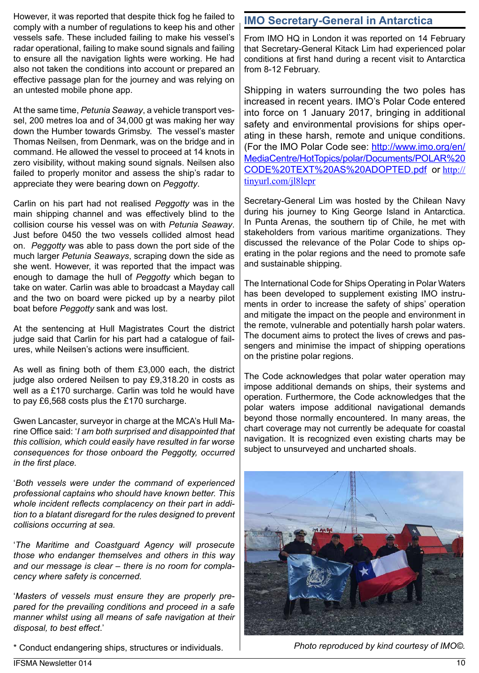However, it was reported that despite thick fog he failed to comply with a number of regulations to keep his and other vessels safe. These included failing to make his vessel's radar operational, failing to make sound signals and failing to ensure all the navigation lights were working. He had also not taken the conditions into account or prepared an effective passage plan for the journey and was relying on an untested mobile phone app.

At the same time, *Petunia Seaway*, a vehicle transport vessel, 200 metres loa and of 34,000 gt was making her way down the Humber towards Grimsby. The vessel's master Thomas Neilsen, from Denmark, was on the bridge and in command. He allowed the vessel to proceed at 14 knots in zero visibility, without making sound signals. Neilsen also failed to properly monitor and assess the ship's radar to appreciate they were bearing down on *Peggotty*.

Carlin on his part had not realised *Peggotty* was in the main shipping channel and was effectively blind to the collision course his vessel was on with *Petunia Seaway*. Just before 0450 the two vessels collided almost head on. *Peggotty* was able to pass down the port side of the much larger *Petunia Seaways*, scraping down the side as she went. However, it was reported that the impact was enough to damage the hull of *Peggotty* which began to take on water. Carlin was able to broadcast a Mayday call and the two on board were picked up by a nearby pilot boat before *Peggotty* sank and was lost.

At the sentencing at Hull Magistrates Court the district judge said that Carlin for his part had a catalogue of failures, while Neilsen's actions were insufficient.

As well as fining both of them £3,000 each, the district judge also ordered Neilsen to pay £9,318.20 in costs as well as a £170 surcharge. Carlin was told he would have to pay £6,568 costs plus the £170 surcharge.

Gwen Lancaster, surveyor in charge at the MCA's Hull Marine Office said: '*I am both surprised and disappointed that this collision, which could easily have resulted in far worse consequences for those onboard the Peggotty, occurred in the first place.*

'*Both vessels were under the command of experienced professional captains who should have known better. This whole incident reflects complacency on their part in addition to a blatant disregard for the rules designed to prevent collisions occurring at sea.*

'*The Maritime and Coastguard Agency will prosecute those who endanger themselves and others in this way and our message is clear – there is no room for complacency where safety is concerned.*

'*Masters of vessels must ensure they are properly prepared for the prevailing conditions and proceed in a safe manner whilst using all means of safe navigation at their disposal, to best effect*.'

\* Conduct endangering ships, structures or individuals.

# **IMO Secretary-General in Antarctica**

From IMO HQ in London it was reported on 14 February that Secretary-General Kitack Lim had experienced polar conditions at first hand during a recent visit to Antarctica from 8-12 February.

Shipping in waters surrounding the two poles has increased in recent years. IMO's Polar Code entered into force on 1 January 2017, bringing in additional safety and environmental provisions for ships operating in these harsh, remote and unique conditions. (For the IMO Polar Code see: http://www.imo.org/en/ MediaCentre/HotTopics/polar/Documents/POLAR%20 CODE%20TEXT%20AS%20ADOPTED.pdf or http:// tinyurl.com/jl8lepr

Secretary-General Lim was hosted by the Chilean Navy during his journey to King George Island in Antarctica. In Punta Arenas, the southern tip of Chile, he met with stakeholders from various maritime organizations. They discussed the relevance of the Polar Code to ships operating in the polar regions and the need to promote safe and sustainable shipping.

The International Code for Ships Operating in Polar Waters has been developed to supplement existing IMO instruments in order to increase the safety of ships' operation and mitigate the impact on the people and environment in the remote, vulnerable and potentially harsh polar waters. The document aims to protect the lives of crews and passengers and minimise the impact of shipping operations on the pristine polar regions.

The Code acknowledges that polar water operation may impose additional demands on ships, their systems and operation. Furthermore, the Code acknowledges that the polar waters impose additional navigational demands beyond those normally encountered. In many areas, the chart coverage may not currently be adequate for coastal navigation. It is recognized even existing charts may be subject to unsurveyed and uncharted shoals.



*Photo reproduced by kind courtesy of IMO©.*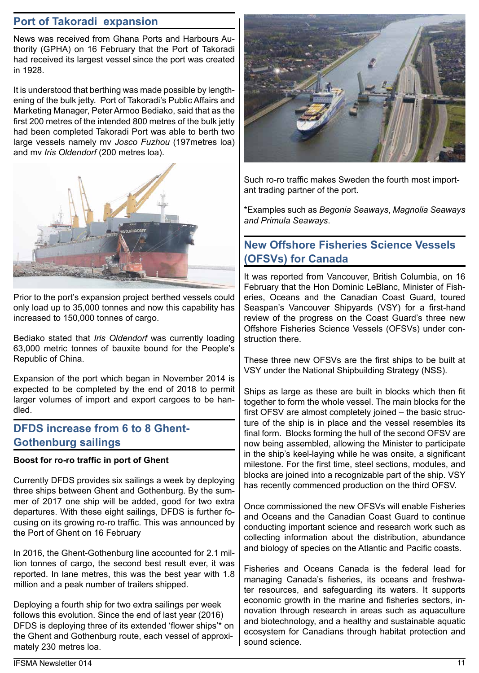# **Port of Takoradi expansion**

News was received from Ghana Ports and Harbours Authority (GPHA) on 16 February that the Port of Takoradi had received its largest vessel since the port was created in 1928.

It is understood that berthing was made possible by lengthening of the bulk jetty. Port of Takoradi's Public Affairs and Marketing Manager, Peter Armoo Bediako, said that as the first 200 metres of the intended 800 metres of the bulk jetty had been completed Takoradi Port was able to berth two large vessels namely mv *Josco Fuzhou* (197metres loa) and mv *Iris Oldendorf* (200 metres loa).



Prior to the port's expansion project berthed vessels could only load up to 35,000 tonnes and now this capability has increased to 150,000 tonnes of cargo.

Bediako stated that *Iris Oldendorf* was currently loading 63,000 metric tonnes of bauxite bound for the People's Republic of China.

Expansion of the port which began in November 2014 is expected to be completed by the end of 2018 to permit larger volumes of import and export cargoes to be handled.

# **DFDS increase from 6 to 8 Ghent-Gothenburg sailings**

### **Boost for ro-ro traffic in port of Ghent**

Currently DFDS provides six sailings a week by deploying three ships between Ghent and Gothenburg. By the summer of 2017 one ship will be added, good for two extra departures. With these eight sailings, DFDS is further focusing on its growing ro-ro traffic. This was announced by the Port of Ghent on 16 February

In 2016, the Ghent-Gothenburg line accounted for 2.1 million tonnes of cargo, the second best result ever, it was reported. In lane metres, this was the best year with 1.8 million and a peak number of trailers shipped.

Deploying a fourth ship for two extra sailings per week follows this evolution. Since the end of last year (2016) DFDS is deploying three of its extended 'flower ships'\* on the Ghent and Gothenburg route, each vessel of approximately 230 metres loa.



Such ro-ro traffic makes Sweden the fourth most important trading partner of the port.

\*Examples such as *Begonia Seaways*, *Magnolia Seaways and Primula Seaways*.

# **New Offshore Fisheries Science Vessels (OFSVs) for Canada**

It was reported from Vancouver, British Columbia, on 16 February that the Hon Dominic LeBlanc, Minister of Fisheries, Oceans and the Canadian Coast Guard, toured Seaspan's Vancouver Shipyards (VSY) for a first-hand review of the progress on the Coast Guard's three new Offshore Fisheries Science Vessels (OFSVs) under construction there.

These three new OFSVs are the first ships to be built at VSY under the National Shipbuilding Strategy (NSS).

Ships as large as these are built in blocks which then fit together to form the whole vessel. The main blocks for the first OFSV are almost completely joined – the basic structure of the ship is in place and the vessel resembles its final form. Blocks forming the hull of the second OFSV are now being assembled, allowing the Minister to participate in the ship's keel-laying while he was onsite, a significant milestone. For the first time, steel sections, modules, and blocks are joined into a recognizable part of the ship. VSY has recently commenced production on the third OFSV.

Once commissioned the new OFSVs will enable Fisheries and Oceans and the Canadian Coast Guard to continue conducting important science and research work such as collecting information about the distribution, abundance and biology of species on the Atlantic and Pacific coasts.

Fisheries and Oceans Canada is the federal lead for managing Canada's fisheries, its oceans and freshwater resources, and safeguarding its waters. It supports economic growth in the marine and fisheries sectors, innovation through research in areas such as aquaculture and biotechnology, and a healthy and sustainable aquatic ecosystem for Canadians through habitat protection and sound science.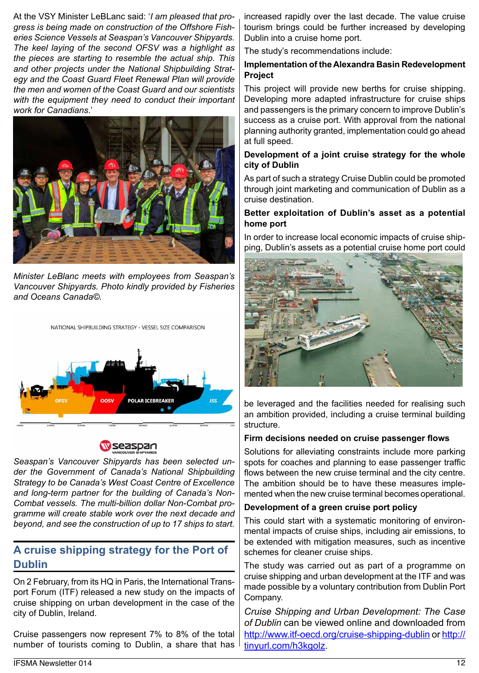At the VSY Minister LeBLanc said: '*I am pleased that progress is being made on construction of the Offshore Fisheries Science Vessels at Seaspan's Vancouver Shipyards. The keel laying of the second OFSV was a highlight as the pieces are starting to resemble the actual ship. This and other projects under the National Shipbuilding Strategy and the Coast Guard Fleet Renewal Plan will provide the men and women of the Coast Guard and our scientists with the equipment they need to conduct their important work for Canadians*.'



*Minister LeBlanc meets with employees from Seaspan's Vancouver Shipyards. Photo kindly provided by Fisheries and Oceans Canada©.*



**OOSV** 

Wseaspan

POLAR ICERREAKER

*Seaspan's Vancouver Shipyards has been selected under the Government of Canada's National Shipbuilding Strategy to be Canada's West Coast Centre of Excellence and long-term partner for the building of Canada's Non-Combat vessels. The multi-billion dollar Non-Combat programme will create stable work over the next decade and beyond, and see the construction of up to 17 ships to start.*

# **A cruise shipping strategy for the Port of Dublin**

On 2 February, from its HQ in Paris, the International Transport Forum (ITF) released a new study on the impacts of cruise shipping on urban development in the case of the city of Dublin, Ireland.

Cruise passengers now represent 7% to 8% of the total number of tourists coming to Dublin, a share that has increased rapidly over the last decade. The value cruise tourism brings could be further increased by developing Dublin into a cruise home port.

The study's recommendations include:

### **Implementation of the Alexandra Basin Redevelopment Project**

This project will provide new berths for cruise shipping. Developing more adapted infrastructure for cruise ships and passengers is the primary concern to improve Dublin's success as a cruise port. With approval from the national planning authority granted, implementation could go ahead at full speed.

### **Development of a joint cruise strategy for the whole city of Dublin**

As part of such a strategy Cruise Dublin could be promoted through joint marketing and communication of Dublin as a cruise destination.

### **Better exploitation of Dublin's asset as a potential home port**

In order to increase local economic impacts of cruise shipping, Dublin's assets as a potential cruise home port could



be leveraged and the facilities needed for realising such an ambition provided, including a cruise terminal building structure.

### **Firm decisions needed on cruise passenger flows**

Solutions for alleviating constraints include more parking spots for coaches and planning to ease passenger traffic flows between the new cruise terminal and the city centre. The ambition should be to have these measures implemented when the new cruise terminal becomes operational.

### **Development of a green cruise port policy**

This could start with a systematic monitoring of environmental impacts of cruise ships, including air emissions, to be extended with mitigation measures, such as incentive schemes for cleaner cruise ships.

The study was carried out as part of a programme on cruise shipping and urban development at the ITF and was made possible by a voluntary contribution from Dublin Port Company.

*Cruise Shipping and Urban Development: The Case of Dublin* can be viewed online and downloaded from http://www.itf-oecd.org/cruise-shipping-dublin or http:// tinyurl.com/h3kgolz.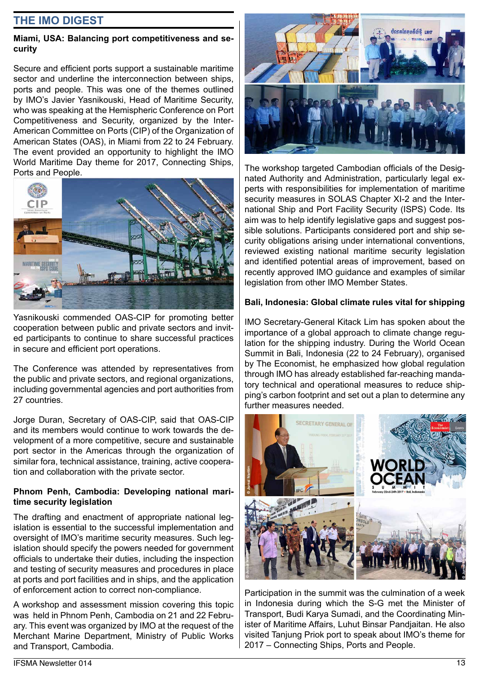## **THE IMO DIGEST**

### **Miami, USA: Balancing port competitiveness and security**

Secure and efficient ports support a sustainable maritime sector and underline the interconnection between ships, ports and people. This was one of the themes outlined by IMO's Javier Yasnikouski, Head of Maritime Security, who was speaking at the Hemispheric Conference on Port Competitiveness and Security, organized by the Inter-American Committee on Ports (CIP) of the Organization of American States (OAS), in Miami from 22 to 24 February. The event provided an opportunity to highlight the IMO World Maritime Day theme for 2017, Connecting Ships, Ports and People.



Yasnikouski commended OAS-CIP for promoting better cooperation between public and private sectors and invited participants to continue to share successful practices in secure and efficient port operations.

The Conference was attended by representatives from the public and private sectors, and regional organizations, including governmental agencies and port authorities from 27 countries.

Jorge Duran, Secretary of OAS-CIP, said that OAS-CIP and its members would continue to work towards the development of a more competitive, secure and sustainable port sector in the Americas through the organization of similar fora, technical assistance, training, active cooperation and collaboration with the private sector.

#### **Phnom Penh, Cambodia: Developing national maritime security legislation**

The drafting and enactment of appropriate national legislation is essential to the successful implementation and oversight of IMO's maritime security measures. Such legislation should specify the powers needed for government officials to undertake their duties, including the inspection and testing of security measures and procedures in place at ports and port facilities and in ships, and the application of enforcement action to correct non-compliance.

A workshop and assessment mission covering this topic was held in Phnom Penh, Cambodia on 21 and 22 February. This event was organized by IMO at the request of the Merchant Marine Department, Ministry of Public Works and Transport, Cambodia.



The workshop targeted Cambodian officials of the Designated Authority and Administration, particularly legal experts with responsibilities for implementation of maritime security measures in SOLAS Chapter XI-2 and the International Ship and Port Facility Security (ISPS) Code. Its aim was to help identify legislative gaps and suggest possible solutions. Participants considered port and ship security obligations arising under international conventions, reviewed existing national maritime security legislation and identified potential areas of improvement, based on recently approved IMO guidance and examples of similar legislation from other IMO Member States.

### **Bali, Indonesia: Global climate rules vital for shipping**

IMO Secretary-General Kitack Lim has spoken about the importance of a global approach to climate change regulation for the shipping industry. During the World Ocean Summit in Bali, Indonesia (22 to 24 February), organised by The Economist, he emphasized how global regulation through IMO has already established far-reaching mandatory technical and operational measures to reduce shipping's carbon footprint and set out a plan to determine any further measures needed.



Participation in the summit was the culmination of a week in Indonesia during which the S-G met the Minister of Transport, Budi Karya Sumadi, and the Coordinating Minister of Maritime Affairs, Luhut Binsar Pandjaitan. He also visited Tanjung Priok port to speak about IMO's theme for 2017 – Connecting Ships, Ports and People.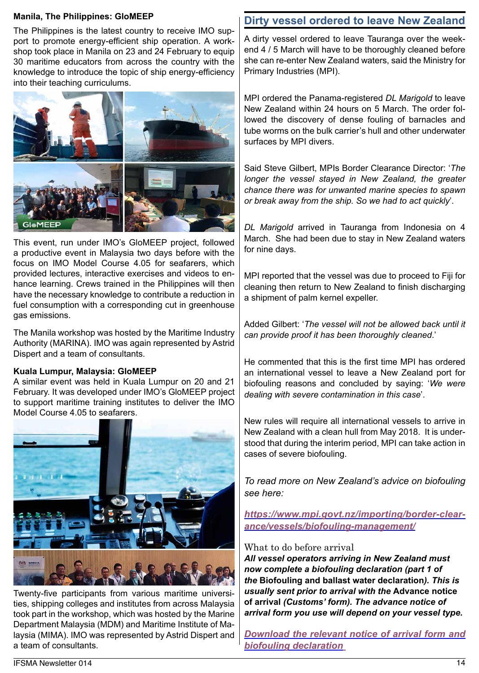#### **Manila, The Philippines: GloMEEP**

The Philippines is the latest country to receive IMO support to promote energy-efficient ship operation. A workshop took place in Manila on 23 and 24 February to equip 30 maritime educators from across the country with the knowledge to introduce the topic of ship energy-efficiency into their teaching curriculums.



This event, run under IMO's GloMEEP project, followed a productive event in Malaysia two days before with the focus on IMO Model Course 4.05 for seafarers, which provided lectures, interactive exercises and videos to enhance learning. Crews trained in the Philippines will then have the necessary knowledge to contribute a reduction in fuel consumption with a corresponding cut in greenhouse gas emissions.

The Manila workshop was hosted by the Maritime Industry Authority (MARINA). IMO was again represented by Astrid Dispert and a team of consultants.

## **Kuala Lumpur, Malaysia: GloMEEP**

A similar event was held in Kuala Lumpur on 20 and 21 February. It was developed under IMO's GloMEEP project to support maritime training institutes to deliver the IMO Model Course 4.05 to seafarers.



Twenty-five participants from various maritime universities, shipping colleges and institutes from across Malaysia took part in the workshop, which was hosted by the Marine Department Malaysia (MDM) and Maritime Institute of Malaysia (MIMA). IMO was represented by Astrid Dispert and a team of consultants.

# **Dirty vessel ordered to leave New Zealand**

A dirty vessel ordered to leave Tauranga over the weekend 4 / 5 March will have to be thoroughly cleaned before she can re-enter New Zealand waters, said the Ministry for Primary Industries (MPI).

MPI ordered the Panama-registered *DL Marigold* to leave New Zealand within 24 hours on 5 March. The order followed the discovery of dense fouling of barnacles and tube worms on the bulk carrier's hull and other underwater surfaces by MPI divers.

Said Steve Gilbert, MPIs Border Clearance Director: '*The longer the vessel stayed in New Zealand, the greater chance there was for unwanted marine species to spawn or break away from the ship. So we had to act quickly*'.

*DL Marigold* arrived in Tauranga from Indonesia on 4 March. She had been due to stay in New Zealand waters for nine days.

MPI reported that the vessel was due to proceed to Fiji for cleaning then return to New Zealand to finish discharging a shipment of palm kernel expeller.

Added Gilbert: '*The vessel will not be allowed back until it can provide proof it has been thoroughly cleaned*.'

He commented that this is the first time MPI has ordered an international vessel to leave a New Zealand port for biofouling reasons and concluded by saying: '*We were dealing with severe contamination in this case*'.

New rules will require all international vessels to arrive in New Zealand with a clean hull from May 2018. It is understood that during the interim period, MPI can take action in cases of severe biofouling.

*To read more on New Zealand's advice on biofouling see here:*

*https://www.mpi.govt.nz/importing/border-clearance/vessels/biofouling-management/*

## What to do before arrival

*All vessel operators arriving in New Zealand must now complete a biofouling declaration (part 1 of the* **Biofouling and ballast water declaration***). This is usually sent prior to arrival with the* **Advance notice of arrival** *(Customs' form). The advance notice of arrival form you use will depend on your vessel type.*

*Download the relevant notice of arrival form and biofouling declaration*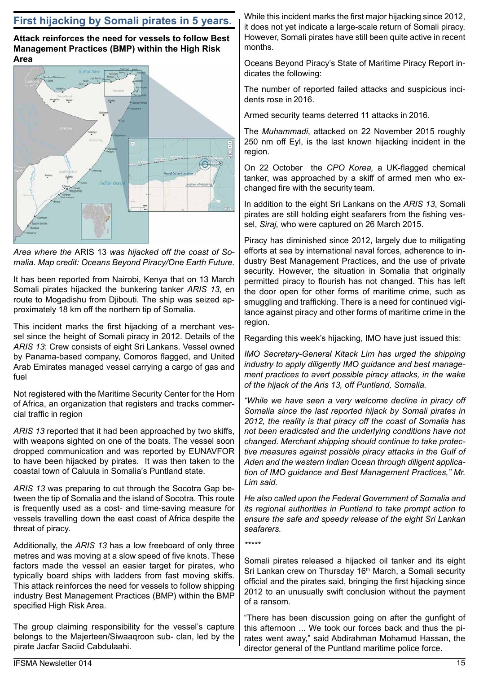# **First hijacking by Somali pirates in 5 years.**

**Attack reinforces the need for vessels to follow Best Management Practices (BMP) within the High Risk Area**



*Area where the* ARIS 13 *was hijacked off the coast of Somalia. Map credit: Oceans Beyond Piracy/One Earth Future.*

It has been reported from Nairobi, Kenya that on 13 March Somali pirates hijacked the bunkering tanker *ARIS 13*, en route to Mogadishu from Djibouti. The ship was seized approximately 18 km off the northern tip of Somalia.

This incident marks the first hijacking of a merchant vessel since the height of Somali piracy in 2012. Details of the *ARIS 13*: Crew consists of eight Sri Lankans. Vessel owned by Panama-based company, Comoros flagged, and United Arab Emirates managed vessel carrying a cargo of gas and fuel

Not registered with the Maritime Security Center for the Horn of Africa, an organization that registers and tracks commercial traffic in region

*ARIS 13* reported that it had been approached by two skiffs, with weapons sighted on one of the boats. The vessel soon dropped communication and was reported by EUNAVFOR to have been hijacked by pirates. It was then taken to the coastal town of Caluula in Somalia's Puntland state.

*ARIS 13* was preparing to cut through the Socotra Gap between the tip of Somalia and the island of Socotra. This route is frequently used as a cost- and time-saving measure for vessels travelling down the east coast of Africa despite the threat of piracy.

Additionally, the *ARIS 13* has a low freeboard of only three metres and was moving at a slow speed of five knots. These factors made the vessel an easier target for pirates, who typically board ships with ladders from fast moving skiffs. This attack reinforces the need for vessels to follow shipping industry Best Management Practices (BMP) within the BMP specified High Risk Area.

The group claiming responsibility for the vessel's capture belongs to the Majerteen/Siwaaqroon sub- clan, led by the pirate Jacfar Saciid Cabdulaahi.

While this incident marks the first major hijacking since 2012, it does not yet indicate a large-scale return of Somali piracy. However, Somali pirates have still been quite active in recent months.

Oceans Beyond Piracy's State of Maritime Piracy Report indicates the following:

The number of reported failed attacks and suspicious incidents rose in 2016.

Armed security teams deterred 11 attacks in 2016.

The *Muhammadi*, attacked on 22 November 2015 roughly 250 nm off Eyl, is the last known hijacking incident in the region.

On 22 October the *CPO Korea,* a UK-flagged chemical tanker, was approached by a skiff of armed men who exchanged fire with the security team.

In addition to the eight Sri Lankans on the *ARIS 13*, Somali pirates are still holding eight seafarers from the fishing vessel, *Siraj,* who were captured on 26 March 2015.

Piracy has diminished since 2012, largely due to mitigating efforts at sea by international naval forces, adherence to industry Best Management Practices, and the use of private security. However, the situation in Somalia that originally permitted piracy to flourish has not changed. This has left the door open for other forms of maritime crime, such as smuggling and trafficking. There is a need for continued vigilance against piracy and other forms of maritime crime in the region.

Regarding this week's hijacking, IMO have just issued this:

*IMO Secretary-General Kitack Lim has urged the shipping industry to apply diligently IMO guidance and best management practices to avert possible piracy attacks, in the wake of the hijack of the Aris 13, off Puntland, Somalia.*

*"While we have seen a very welcome decline in piracy off Somalia since the last reported hijack by Somali pirates in 2012, the reality is that piracy off the coast of Somalia has not been eradicated and the underlying conditions have not changed. Merchant shipping should continue to take protective measures against possible piracy attacks in the Gulf of Aden and the western Indian Ocean through diligent application of IMO guidance and Best Management Practices," Mr. Lim said.*

*He also called upon the Federal Government of Somalia and its regional authorities in Puntland to take prompt action to ensure the safe and speedy release of the eight Sri Lankan seafarers.*

*\*\*\*\*\**

Somali pirates released a hijacked oil tanker and its eight Sri Lankan crew on Thursday 16<sup>th</sup> March, a Somali security official and the pirates said, bringing the first hijacking since 2012 to an unusually swift conclusion without the payment of a ransom.

"There has been discussion going on after the gunfight of this afternoon ... We took our forces back and thus the pirates went away," said Abdirahman Mohamud Hassan, the director general of the Puntland maritime police force.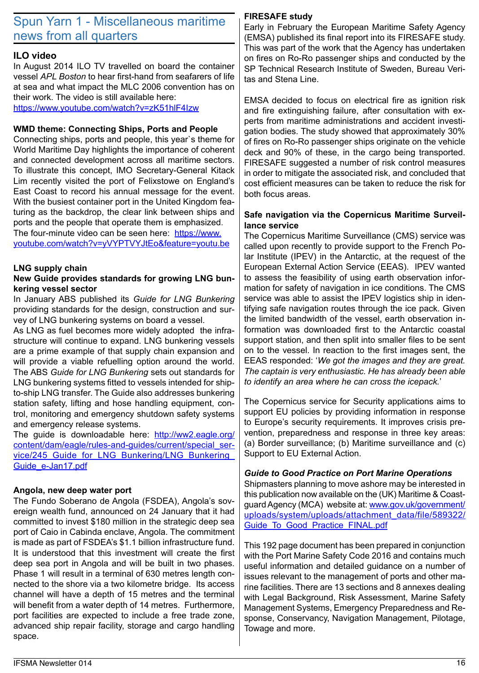# Spun Yarn 1 - Miscellaneous maritime news from all quarters

## **ILO video**

In August 2014 ILO TV travelled on board the container vessel *APL Boston* to hear first-hand from seafarers of life at sea and what impact the MLC 2006 convention has on their work. The video is still available here:

https://www.youtube.com/watch?v=zK51hlF4Izw

### **WMD theme: Connecting Ships, Ports and People**

Connecting ships, ports and people, this year`s theme for World Maritime Day highlights the importance of coherent and connected development across all maritime sectors. To illustrate this concept, IMO Secretary-General Kitack Lim recently visited the port of Felixstowe on England's East Coast to record his annual message for the event. With the busiest container port in the United Kingdom featuring as the backdrop, the clear link between ships and ports and the people that operate them is emphasized. The four-minute video can be seen here: https://www. youtube.com/watch?v=yVYPTVYJtEo&feature=youtu.be

### **LNG supply chain**

#### **New Guide provides standards for growing LNG bunkering vessel sector**

In January ABS published its *Guide for LNG Bunkering* providing standards for the design, construction and survey of LNG bunkering systems on board a vessel.

As LNG as fuel becomes more widely adopted the infrastructure will continue to expand. LNG bunkering vessels are a prime example of that supply chain expansion and will provide a viable refuelling option around the world. The ABS *Guide for LNG Bunkering* sets out standards for LNG bunkering systems fitted to vessels intended for shipto-ship LNG transfer. The Guide also addresses bunkering station safety, lifting and hose handling equipment, control, monitoring and emergency shutdown safety systems and emergency release systems.

The guide is downloadable here: http://ww2.eagle.org/ content/dam/eagle/rules-and-guides/current/special\_service/245\_Guide\_for\_LNG\_Bunkering/LNG\_Bunkering Guide\_e-Jan17.pdf

### **Angola, new deep water port**

The Fundo Soberano de Angola (FSDEA), Angola's sovereign wealth fund, announced on 24 January that it had committed to invest \$180 million in the strategic deep sea port of Caio in Cabinda enclave, Angola. The commitment is made as part of FSDEA's \$1.1 billion infrastructure fund. It is understood that this investment will create the first deep sea port in Angola and will be built in two phases. Phase 1 will result in a terminal of 630 metres length connected to the shore via a two kilometre bridge. Its access channel will have a depth of 15 metres and the terminal will benefit from a water depth of 14 metres. Furthermore, port facilities are expected to include a free trade zone, advanced ship repair facility, storage and cargo handling space.

### **FIRESAFE study**

Early in February the European Maritime Safety Agency (EMSA) published its final report into its FIRESAFE study. This was part of the work that the Agency has undertaken on fires on Ro-Ro passenger ships and conducted by the SP Technical Research Institute of Sweden, Bureau Veritas and Stena Line.

EMSA decided to focus on electrical fire as ignition risk and fire extinguishing failure, after consultation with experts from maritime administrations and accident investigation bodies. The study showed that approximately 30% of fires on Ro-Ro passenger ships originate on the vehicle deck and 90% of these, in the cargo being transported. FIRESAFE suggested a number of risk control measures in order to mitigate the associated risk, and concluded that cost efficient measures can be taken to reduce the risk for both focus areas.

### **Safe navigation via the Copernicus Maritime Surveillance service**

The Copernicus Maritime Surveillance (CMS) service was called upon recently to provide support to the French Polar Institute (IPEV) in the Antarctic, at the request of the European External Action Service (EEAS). IPEV wanted to assess the feasibility of using earth observation information for safety of navigation in ice conditions. The CMS service was able to assist the IPEV logistics ship in identifying safe navigation routes through the ice pack. Given the limited bandwidth of the vessel, earth observation information was downloaded first to the Antarctic coastal support station, and then split into smaller files to be sent on to the vessel. In reaction to the first images sent, the EEAS responded: '*We got the images and they are great. The captain is very enthusiastic. He has already been able to identify an area where he can cross the icepack.*'

The Copernicus service for Security applications aims to support EU policies by providing information in response to Europe's security requirements. It improves crisis prevention, preparedness and response in three key areas: (a) Border surveillance; (b) Maritime surveillance and (c) Support to EU External Action.

### *Guide to Good Practice on Port Marine Operations*

Shipmasters planning to move ashore may be interested in this publication now available on the (UK) Maritime & Coastguard Agency (MCA) website at: www.gov.uk/government/ uploads/system/uploads/attachment\_data/file/589322/ Guide\_To\_Good\_Practice\_FINAL.pdf

This 192 page document has been prepared in conjunction with the Port Marine Safety Code 2016 and contains much useful information and detailed guidance on a number of issues relevant to the management of ports and other marine facilities. There are 13 sections and 8 annexes dealing with Legal Background, Risk Assessment, Marine Safety Management Systems, Emergency Preparedness and Response, Conservancy, Navigation Management, Pilotage, Towage and more.